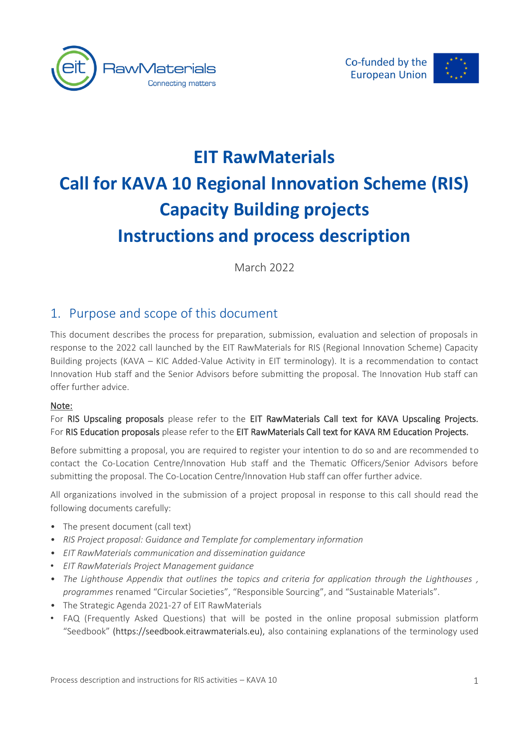



# **EIT RawMaterials Call for KAVA 10 Regional Innovation Scheme (RIS) Capacity Building projects Instructions and process description**

March 2022

# 1. Purpose and scope of this document

This document describes the process for preparation, submission, evaluation and selection of proposals in response to the 2022 call launched by the EIT RawMaterials for RIS (Regional Innovation Scheme) Capacity Building projects (KAVA – KIC Added-Value Activity in EIT terminology). It is a recommendation to contact Innovation Hub staff and the Senior Advisors before submitting the proposal. The Innovation Hub staff can offer further advice.

#### Note:

#### For RIS Upscaling proposals please refer to the EIT RawMaterials Call text for KAVA Upscaling Projects. For RIS Education proposals please refer to the EIT RawMaterials Call text for KAVA RM Education Projects.

Before submitting a proposal, you are required to register your intention to do so and are recommended to contact the Co-Location Centre/Innovation Hub staff and the Thematic Officers/Senior Advisors before submitting the proposal. The Co-Location Centre/Innovation Hub staff can offer further advice.

All organizations involved in the submission of a project proposal in response to this call should read the following documents carefully:

- The present document (call text)
- *RIS Project proposal: Guidance and Template for complementary information*
- *EIT RawMaterials communication and dissemination guidance*
- *EIT RawMaterials Project Management guidance*
- *The Lighthouse Appendix that outlines the topics and criteria for application through the Lighthouses , programmes* renamed "Circular Societies", "Responsible Sourcing", and "Sustainable Materials".
- The Strategic Agenda 2021-27 of EIT RawMaterials
- FAQ (Frequently Asked Questions) that will be posted in the online proposal submission platform "Seedbook" (https://seedbook.eitrawmaterials.eu), also containing explanations of the terminology used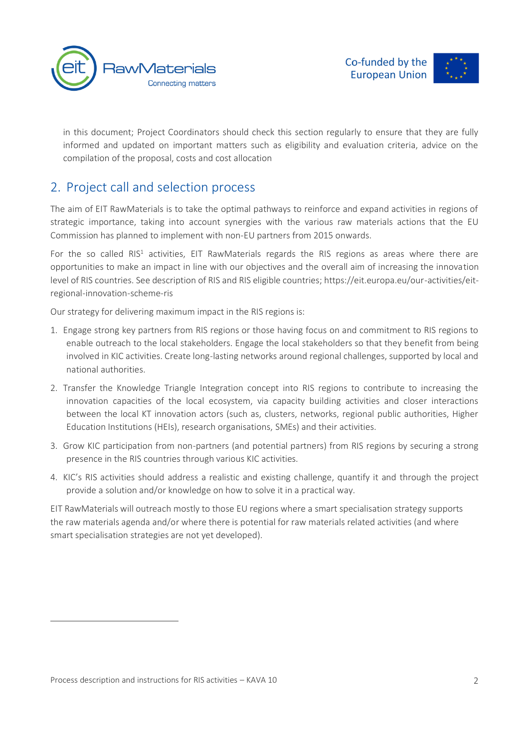

in this document; Project Coordinators should check this section regularly to ensure that they are fully informed and updated on important matters such as eligibility and evaluation criteria, advice on the compilation of the proposal, costs and cost allocation

# 2. Project call and selection process

The aim of EIT RawMaterials is to take the optimal pathways to reinforce and expand activities in regions of strategic importance, taking into account synergies with the various raw materials actions that the EU Commission has planned to implement with non-EU partners from 2015 onwards.

For the so called RIS<sup>1</sup> activities, EIT RawMaterials regards the RIS regions as areas where there are opportunities to make an impact in line with our objectives and the overall aim of increasing the innovation level of RIS countries. See description of RIS and RIS eligible countries; https://eit.europa.eu/our-activities/eitregional-innovation-scheme-ris

Our strategy for delivering maximum impact in the RIS regions is:

- 1. Engage strong key partners from RIS regions or those having focus on and commitment to RIS regions to enable outreach to the local stakeholders. Engage the local stakeholders so that they benefit from being involved in KIC activities. Create long-lasting networks around regional challenges, supported by local and national authorities.
- 2. Transfer the Knowledge Triangle Integration concept into RIS regions to contribute to increasing the innovation capacities of the local ecosystem, via capacity building activities and closer interactions between the local KT innovation actors (such as, clusters, networks, regional public authorities, Higher Education Institutions (HEIs), research organisations, SMEs) and their activities.
- 3. Grow KIC participation from non-partners (and potential partners) from RIS regions by securing a strong presence in the RIS countries through various KIC activities.
- 4. KIC's RIS activities should address a realistic and existing challenge, quantify it and through the project provide a solution and/or knowledge on how to solve it in a practical way.

EIT RawMaterials will outreach mostly to those EU regions where a smart specialisation strategy supports the raw materials agenda and/or where there is potential for raw materials related activities (and where smart specialisation strategies are not yet developed).

Process description and instructions for RIS activities – KAVA 10 2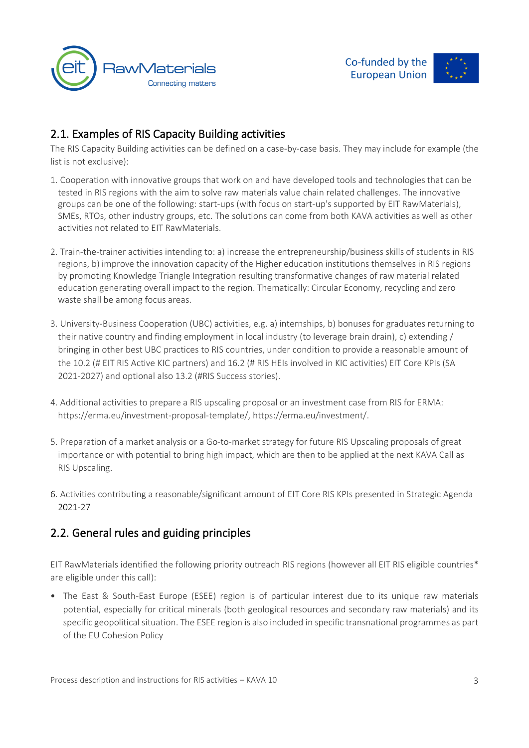



# 2.1. Examples of RIS Capacity Building activities

The RIS Capacity Building activities can be defined on a case-by-case basis. They may include for example (the list is not exclusive):

- 1. Cooperation with innovative groups that work on and have developed tools and technologies that can be tested in RIS regions with the aim to solve raw materials value chain related challenges. The innovative groups can be one of the following: start-ups (with focus on start-up's supported by EIT RawMaterials), SMEs, RTOs, other industry groups, etc. The solutions can come from both KAVA activities as well as other activities not related to EIT RawMaterials.
- 2. Train-the-trainer activities intending to: a) increase the entrepreneurship/business skills of students in RIS regions, b) improve the innovation capacity of the Higher education institutions themselves in RIS regions by promoting Knowledge Triangle Integration resulting transformative changes of raw material related education generating overall impact to the region. Thematically: Circular Economy, recycling and zero waste shall be among focus areas.
- 3. University-Business Cooperation (UBC) activities, e.g. a) internships, b) bonuses for graduates returning to their native country and finding employment in local industry (to leverage brain drain), c) extending / bringing in other best UBC practices to RIS countries, under condition to provide a reasonable amount of the 10.2 (# EIT RIS Active KIC partners) and 16.2 (# RIS HEIs involved in KIC activities) EIT Core KPIs (SA 2021-2027) and optional also 13.2 (#RIS Success stories).
- 4. Additional activities to prepare a RIS upscaling proposal or an investment case from RIS for ERMA: [https://erma.eu/investment-proposal-template/,](https://erma.eu/investment-proposal-template/) [https://erma.eu/investment/.](https://erma.eu/investment/)
- 5. Preparation of a market analysis or a Go-to-market strategy for future RIS Upscaling proposals of great importance or with potential to bring high impact, which are then to be applied at the next KAVA Call as RIS Upscaling.
- 6. Activities contributing a reasonable/significant amount of EIT Core RIS KPIs presented in Strategic Agenda 2021-27

## 2.2. General rules and guiding principles

EIT RawMaterials identified the following priority outreach RIS regions (however all EIT RIS eligible countries\* are eligible under this call):

• The East & South-East Europe (ESEE) region is of particular interest due to its unique raw materials potential, especially for critical minerals (both geological resources and secondary raw materials) and its specific geopolitical situation. The ESEE region is also included in specific transnational programmes as part of the EU Cohesion Policy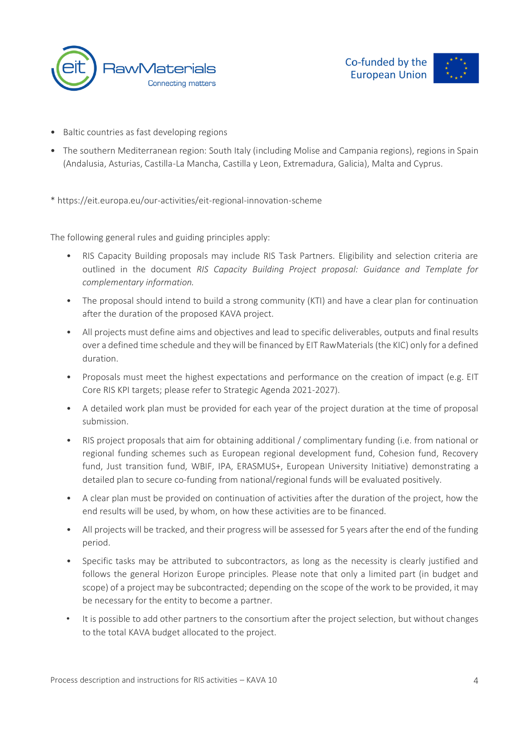



- Baltic countries as fast developing regions
- The southern Mediterranean region: South Italy (including Molise and Campania regions), regions in Spain (Andalusia, Asturias, Castilla-La Mancha, Castilla y Leon, Extremadura, Galicia), Malta and Cyprus.
- \* <https://eit.europa.eu/our-activities/eit-regional-innovation-scheme>

The following general rules and guiding principles apply:

- RIS Capacity Building proposals may include RIS Task Partners. Eligibility and selection criteria are outlined in the document *RIS Capacity Building Project proposal: Guidance and Template for complementary information.*
- The proposal should intend to build a strong community (KTI) and have a clear plan for continuation after the duration of the proposed KAVA project.
- All projects must define aims and objectives and lead to specific deliverables, outputs and final results over a defined time schedule and they will be financed by EIT RawMaterials (the KIC) only for a defined duration.
- Proposals must meet the highest expectations and performance on the creation of impact (e.g. EIT Core RIS KPI targets; please refer to Strategic Agenda 2021-2027).
- A detailed work plan must be provided for each year of the project duration at the time of proposal submission.
- RIS project proposals that aim for obtaining additional / complimentary funding (i.e. from national or regional funding schemes such as European regional development fund, Cohesion fund, Recovery fund, Just transition fund, WBIF, IPA, ERASMUS+, European University Initiative) demonstrating a detailed plan to secure co-funding from national/regional funds will be evaluated positively.
- A clear plan must be provided on continuation of activities after the duration of the project, how the end results will be used, by whom, on how these activities are to be financed.
- All projects will be tracked, and their progress will be assessed for 5 years after the end of the funding period.
- Specific tasks may be attributed to subcontractors, as long as the necessity is clearly justified and follows the general Horizon Europe principles. Please note that only a limited part (in budget and scope) of a project may be subcontracted; depending on the scope of the work to be provided, it may be necessary for the entity to become a partner.
- It is possible to add other partners to the consortium after the project selection, but without changes to the total KAVA budget allocated to the project.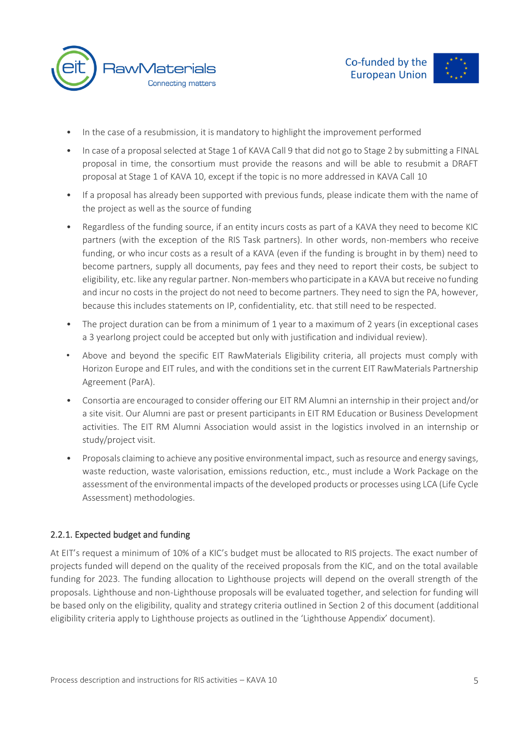

- In the case of a resubmission, it is mandatory to highlight the improvement performed
- In case of a proposal selected at Stage 1 of KAVA Call 9 that did not go to Stage 2 by submitting a FINAL proposal in time, the consortium must provide the reasons and will be able to resubmit a DRAFT proposal at Stage 1 of KAVA 10, except if the topic is no more addressed in KAVA Call 10
- If a proposal has already been supported with previous funds, please indicate them with the name of the project as well as the source of funding
- Regardless of the funding source, if an entity incurs costs as part of a KAVA they need to become KIC partners (with the exception of the RIS Task partners). In other words, non-members who receive funding, or who incur costs as a result of a KAVA (even if the funding is brought in by them) need to become partners, supply all documents, pay fees and they need to report their costs, be subject to eligibility, etc. like any regular partner. Non-members who participate in a KAVA but receive no funding and incur no costs in the project do not need to become partners. They need to sign the PA, however, because this includes statements on IP, confidentiality, etc. that still need to be respected.
- The project duration can be from a minimum of 1 year to a maximum of 2 years (in exceptional cases a 3 yearlong project could be accepted but only with justification and individual review).
- Above and beyond the specific EIT RawMaterials Eligibility criteria, all projects must comply with Horizon Europe and EIT rules, and with the conditions set in the current EIT RawMaterials Partnership Agreement (ParA).
- Consortia are encouraged to consider offering our EIT RM Alumni an internship in their project and/or a site visit. Our Alumni are past or present participants in EIT RM Education or Business Development activities. The EIT RM Alumni Association would assist in the logistics involved in an internship or study/project visit.
- Proposals claiming to achieve any positive environmental impact, such as resource and energy savings, waste reduction, waste valorisation, emissions reduction, etc., must include a Work Package on the assessment of the environmental impacts of the developed products or processes using LCA (Life Cycle Assessment) methodologies.

#### 2.2.1. Expected budget and funding

At EIT's request a minimum of 10% of a KIC's budget must be allocated to RIS projects. The exact number of projects funded will depend on the quality of the received proposals from the KIC, and on the total available funding for 2023. The funding allocation to Lighthouse projects will depend on the overall strength of the proposals. Lighthouse and non-Lighthouse proposals will be evaluated together, and selection for funding will be based only on the eligibility, quality and strategy criteria outlined in Section 2 of this document (additional eligibility criteria apply to Lighthouse projects as outlined in the 'Lighthouse Appendix' document).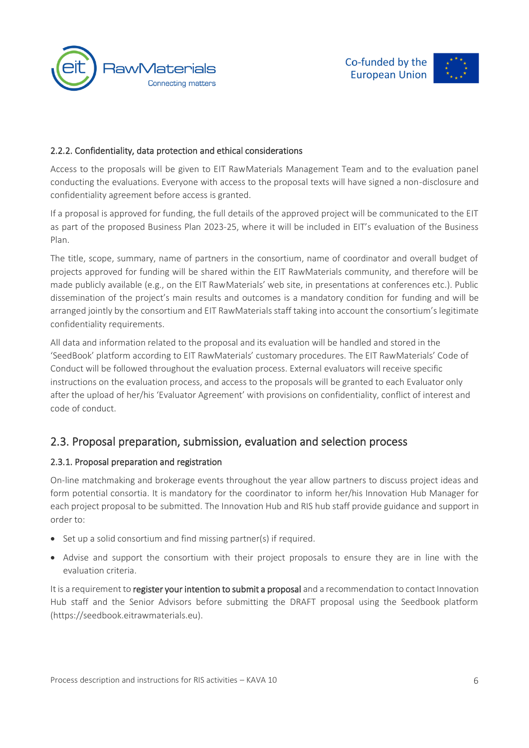



#### 2.2.2. Confidentiality, data protection and ethical considerations

Access to the proposals will be given to EIT RawMaterials Management Team and to the evaluation panel conducting the evaluations. Everyone with access to the proposal texts will have signed a non-disclosure and confidentiality agreement before access is granted.

If a proposal is approved for funding, the full details of the approved project will be communicated to the EIT as part of the proposed Business Plan 2023-25, where it will be included in EIT's evaluation of the Business Plan.

The title, scope, summary, name of partners in the consortium, name of coordinator and overall budget of projects approved for funding will be shared within the EIT RawMaterials community, and therefore will be made publicly available (e.g., on the EIT RawMaterials' web site, in presentations at conferences etc.). Public dissemination of the project's main results and outcomes is a mandatory condition for funding and will be arranged jointly by the consortium and EIT RawMaterials staff taking into account the consortium's legitimate confidentiality requirements.

All data and information related to the proposal and its evaluation will be handled and stored in the 'SeedBook' platform according to EIT RawMaterials' customary procedures. The EIT RawMaterials' Code of Conduct will be followed throughout the evaluation process. External evaluators will receive specific instructions on the evaluation process, and access to the proposals will be granted to each Evaluator only after the upload of her/his 'Evaluator Agreement' with provisions on confidentiality, conflict of interest and code of conduct.

### 2.3. Proposal preparation, submission, evaluation and selection process

#### 2.3.1. Proposal preparation and registration

On-line matchmaking and brokerage events throughout the year allow partners to discuss project ideas and form potential consortia. It is mandatory for the coordinator to inform her/his Innovation Hub Manager for each project proposal to be submitted. The Innovation Hub and RIS hub staff provide guidance and support in order to:

- Set up a solid consortium and find missing partner(s) if required.
- Advise and support the consortium with their project proposals to ensure they are in line with the evaluation criteria.

It is a requirement to register your intention to submit a proposal and a recommendation to contact Innovation Hub staff and the Senior Advisors before submitting the DRAFT proposal using the Seedbook platform [\(https://seedbook.eitrawmaterials.eu\).](https://seedbook.eitrawmaterials.eu)/)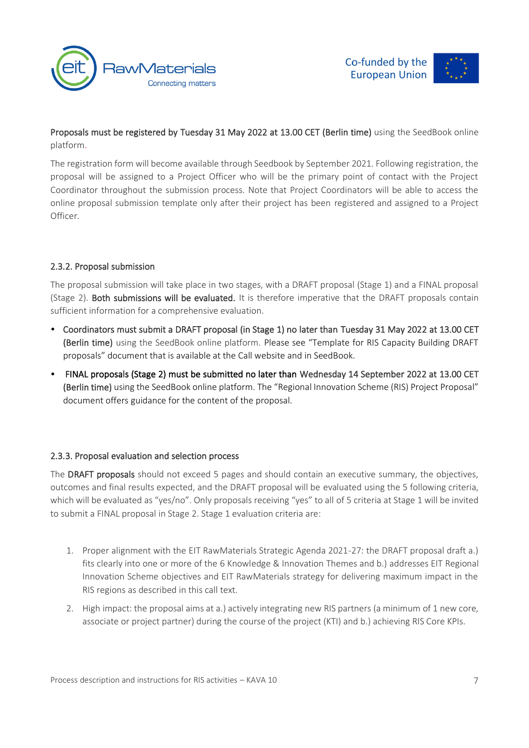



Proposals must be registered by Tuesday 31 May 2022 at 13.00 CET (Berlin time) using the SeedBook online platform.

The registration form will become available through Seedbook by September 2021. Following registration, the proposal will be assigned to a Project Officer who will be the primary point of contact with the Project Coordinator throughout the submission process. Note that Project Coordinators will be able to access the online proposal submission template only after their project has been registered and assigned to a Project Officer.

#### 2.3.2. Proposal submission

The proposal submission will take place in two stages, with a DRAFT proposal (Stage 1) and a FINAL proposal (Stage 2). Both submissions will be evaluated. It is therefore imperative that the DRAFT proposals contain sufficient information for a comprehensive evaluation.

- Coordinators must submit a DRAFT proposal (in Stage 1) no later than Tuesday 31 May 2022 at 13.00 CET (Berlin time) using the SeedBook online platform. Please see "Template for RIS Capacity Building DRAFT proposals" document that is available at the Call website and in SeedBook.
- FINAL proposals (Stage 2) must be submitted no later than Wednesday 14 September 2022 at 13.00 CET (Berlin time) using the SeedBook online platform. The "Regional Innovation Scheme (RIS) Project Proposal" document offers guidance for the content of the proposal.

#### 2.3.3. Proposal evaluation and selection process

The DRAFT proposals should not exceed 5 pages and should contain an executive summary, the objectives, outcomes and final results expected, and the DRAFT proposal will be evaluated using the 5 following criteria, which will be evaluated as "yes/no". Only proposals receiving "yes" to all of 5 criteria at Stage 1 will be invited to submit a FINAL proposal in Stage 2. Stage 1 evaluation criteria are:

- 1. Proper alignment with the EIT RawMaterials Strategic Agenda 2021-27: the DRAFT proposal draft a.) fits clearly into one or more of the 6 Knowledge & Innovation Themes and b.) addresses EIT Regional Innovation Scheme objectives and EIT RawMaterials strategy for delivering maximum impact in the RIS regions as described in this call text.
- 2. High impact: the proposal aims at a.) actively integrating new RIS partners (a minimum of 1 new core, associate or project partner) during the course of the project (KTI) and b.) achieving RIS Core KPIs.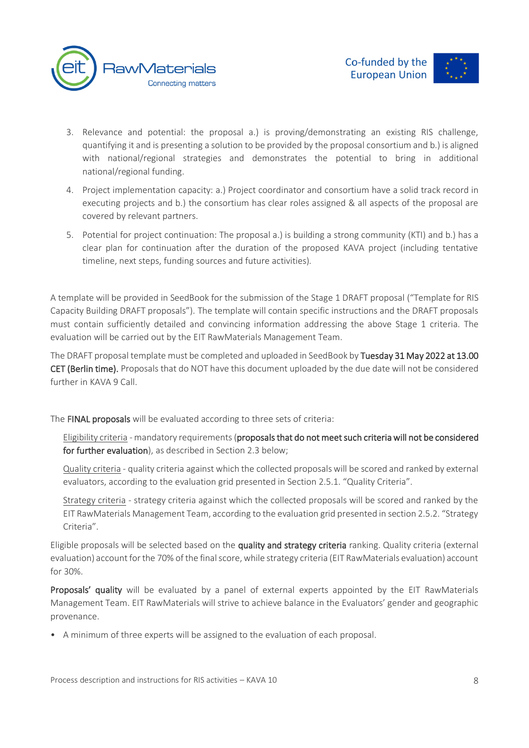

- 3. Relevance and potential: the proposal a.) is proving/demonstrating an existing RIS challenge, quantifying it and is presenting a solution to be provided by the proposal consortium and b.) is aligned with national/regional strategies and demonstrates the potential to bring in additional national/regional funding.
- 4. Project implementation capacity: a.) Project coordinator and consortium have a solid track record in executing projects and b.) the consortium has clear roles assigned & all aspects of the proposal are covered by relevant partners.
- 5. Potential for project continuation: The proposal a.) is building a strong community (KTI) and b.) has a clear plan for continuation after the duration of the proposed KAVA project (including tentative timeline, next steps, funding sources and future activities).

A template will be provided in SeedBook for the submission of the Stage 1 DRAFT proposal ("Template for RIS Capacity Building DRAFT proposals"). The template will contain specific instructions and the DRAFT proposals must contain sufficiently detailed and convincing information addressing the above Stage 1 criteria. The evaluation will be carried out by the EIT RawMaterials Management Team.

The DRAFT proposal template must be completed and uploaded in SeedBook by Tuesday 31 May 2022 at 13.00 CET (Berlin time). Proposals that do NOT have this document uploaded by the due date will not be considered further in KAVA 9 Call.

The FINAL proposals will be evaluated according to three sets of criteria:

Eligibility criteria - mandatory requirements (proposals that do not meet such criteria will not be considered for further evaluation), as described in Section 2.3 below;

Quality criteria - quality criteria against which the collected proposals will be scored and ranked by external evaluators, according to the evaluation grid presented in Section 2.5.1. "Quality Criteria".

Strategy criteria - strategy criteria against which the collected proposals will be scored and ranked by the EIT RawMaterials Management Team, according to the evaluation grid presented in section 2.5.2. "Strategy Criteria".

Eligible proposals will be selected based on the quality and strategy criteria ranking. Quality criteria (external evaluation) account for the 70% of the final score, while strategy criteria (EIT RawMaterials evaluation) account for 30%.

Proposals' quality will be evaluated by a panel of external experts appointed by the EIT RawMaterials Management Team. EIT RawMaterials will strive to achieve balance in the Evaluators' gender and geographic provenance.

• A minimum of three experts will be assigned to the evaluation of each proposal.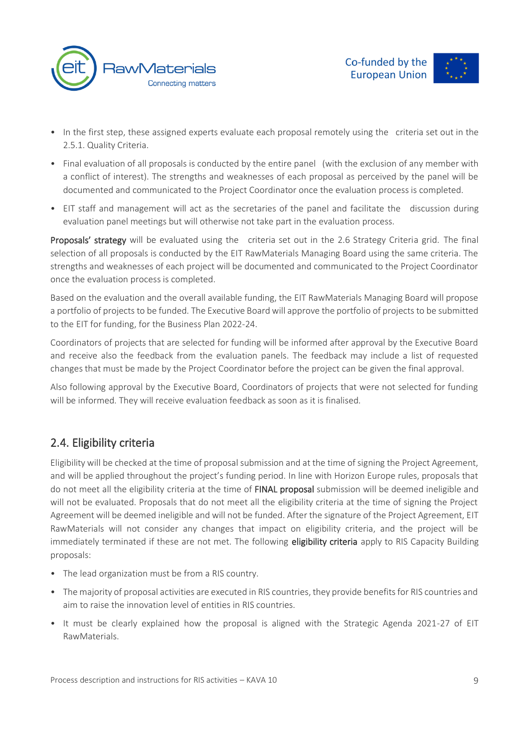

- In the first step, these assigned experts evaluate each proposal remotely using the criteria set out in the 2.5.1. Quality Criteria.
- Final evaluation of all proposals is conducted by the entire panel (with the exclusion of any member with a conflict of interest). The strengths and weaknesses of each proposal as perceived by the panel will be documented and communicated to the Project Coordinator once the evaluation process is completed.
- EIT staff and management will act as the secretaries of the panel and facilitate the discussion during evaluation panel meetings but will otherwise not take part in the evaluation process.

Proposals' strategy will be evaluated using the criteria set out in the 2.6 Strategy Criteria grid. The final selection of all proposals is conducted by the EIT RawMaterials Managing Board using the same criteria. The strengths and weaknesses of each project will be documented and communicated to the Project Coordinator once the evaluation process is completed.

Based on the evaluation and the overall available funding, the EIT RawMaterials Managing Board will propose a portfolio of projects to be funded. The Executive Board will approve the portfolio of projects to be submitted to the EIT for funding, for the Business Plan 2022-24.

Coordinators of projects that are selected for funding will be informed after approval by the Executive Board and receive also the feedback from the evaluation panels. The feedback may include a list of requested changes that must be made by the Project Coordinator before the project can be given the final approval.

Also following approval by the Executive Board, Coordinators of projects that were not selected for funding will be informed. They will receive evaluation feedback as soon as it is finalised.

# 2.4. Eligibility criteria

Eligibility will be checked at the time of proposal submission and at the time of signing the Project Agreement, and will be applied throughout the project's funding period. In line with Horizon Europe rules, proposals that do not meet all the eligibility criteria at the time of FINAL proposal submission will be deemed ineligible and will not be evaluated. Proposals that do not meet all the eligibility criteria at the time of signing the Project Agreement will be deemed ineligible and will not be funded. After the signature of the Project Agreement, EIT RawMaterials will not consider any changes that impact on eligibility criteria, and the project will be immediately terminated if these are not met. The following eligibility criteria apply to RIS Capacity Building proposals:

- The lead organization must be from a RIS country.
- The majority of proposal activities are executed in RIS countries, they provide benefits for RIS countries and aim to raise the innovation level of entities in RIS countries.
- It must be clearly explained how the proposal is aligned with the Strategic Agenda 2021-27 of EIT RawMaterials.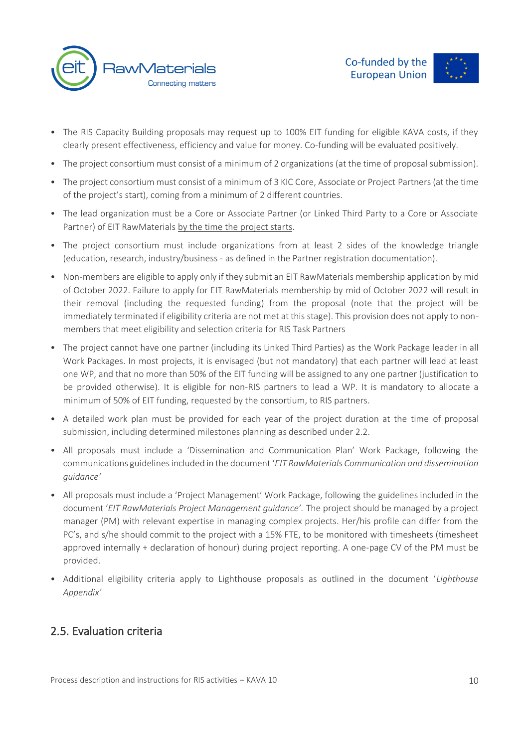



- The RIS Capacity Building proposals may request up to 100% EIT funding for eligible KAVA costs, if they clearly present effectiveness, efficiency and value for money. Co-funding will be evaluated positively.
- The project consortium must consist of a minimum of 2 organizations (at the time of proposal submission).
- The project consortium must consist of a minimum of 3 KIC Core, Associate or Project Partners (at the time of the project's start), coming from a minimum of 2 different countries.
- The lead organization must be a Core or Associate Partner (or Linked Third Party to a Core or Associate Partner) of EIT RawMaterials by the time the project starts.
- The project consortium must include organizations from at least 2 sides of the knowledge triangle (education, research, industry/business - as defined in the Partner registration documentation).
- Non-members are eligible to apply only if they submit an EIT RawMaterials membership application by mid of October 2022. Failure to apply for EIT RawMaterials membership by mid of October 2022 will result in their removal (including the requested funding) from the proposal (note that the project will be immediately terminated if eligibility criteria are not met at this stage). This provision does not apply to nonmembers that meet eligibility and selection criteria for RIS Task Partners
- The project cannot have one partner (including its Linked Third Parties) as the Work Package leader in all Work Packages. In most projects, it is envisaged (but not mandatory) that each partner will lead at least one WP, and that no more than 50% of the EIT funding will be assigned to any one partner (justification to be provided otherwise). It is eligible for non-RIS partners to lead a WP. It is mandatory to allocate a minimum of 50% of EIT funding, requested by the consortium, to RIS partners.
- A detailed work plan must be provided for each year of the project duration at the time of proposal submission, including determined milestones planning as described under 2.2.
- All proposals must include a 'Dissemination and Communication Plan' Work Package, following the communications guidelines included in the document '*EIT RawMaterials Communication and dissemination guidance'*
- All proposals must include a 'Project Management' Work Package, following the guidelines included in the document '*EIT RawMaterials Project Management guidance'.* The project should be managed by a project manager (PM) with relevant expertise in managing complex projects. Her/his profile can differ from the PC's, and s/he should commit to the project with a 15% FTE, to be monitored with timesheets (timesheet approved internally + declaration of honour) during project reporting. A one-page CV of the PM must be provided.
- Additional eligibility criteria apply to Lighthouse proposals as outlined in the document '*Lighthouse Appendix'*

## 2.5. Evaluation criteria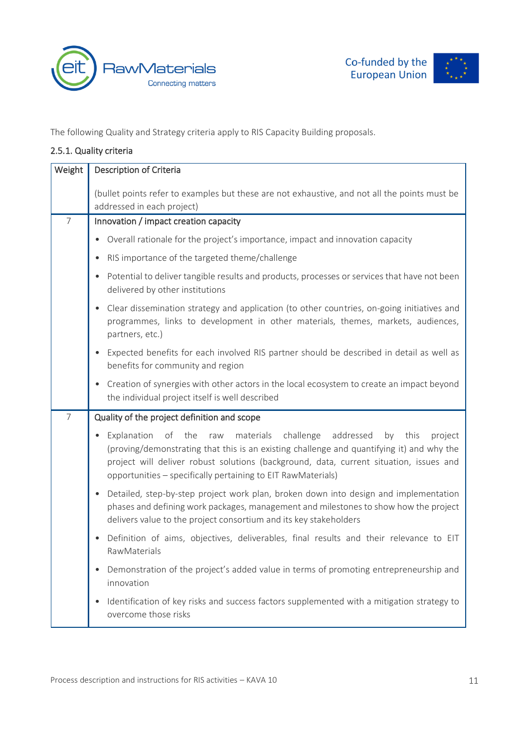





The following Quality and Strategy criteria apply to RIS Capacity Building proposals.

#### 2.5.1. Quality criteria

| Weight         | <b>Description of Criteria</b>                                                                                                                                                                                                                                                                                                                                   |  |
|----------------|------------------------------------------------------------------------------------------------------------------------------------------------------------------------------------------------------------------------------------------------------------------------------------------------------------------------------------------------------------------|--|
|                | (bullet points refer to examples but these are not exhaustive, and not all the points must be<br>addressed in each project)                                                                                                                                                                                                                                      |  |
| $\overline{7}$ | Innovation / impact creation capacity                                                                                                                                                                                                                                                                                                                            |  |
|                | Overall rationale for the project's importance, impact and innovation capacity<br>$\bullet$                                                                                                                                                                                                                                                                      |  |
|                | RIS importance of the targeted theme/challenge<br>$\bullet$                                                                                                                                                                                                                                                                                                      |  |
|                | Potential to deliver tangible results and products, processes or services that have not been<br>$\bullet$<br>delivered by other institutions                                                                                                                                                                                                                     |  |
|                | Clear dissemination strategy and application (to other countries, on-going initiatives and<br>$\bullet$<br>programmes, links to development in other materials, themes, markets, audiences,<br>partners, etc.)                                                                                                                                                   |  |
|                | Expected benefits for each involved RIS partner should be described in detail as well as<br>$\bullet$<br>benefits for community and region                                                                                                                                                                                                                       |  |
|                | Creation of synergies with other actors in the local ecosystem to create an impact beyond<br>$\bullet$<br>the individual project itself is well described                                                                                                                                                                                                        |  |
| $\overline{7}$ | Quality of the project definition and scope                                                                                                                                                                                                                                                                                                                      |  |
|                | of the<br>challenge<br>addressed<br>Explanation<br>materials<br>project<br>raw<br>by<br>this<br>$\bullet$<br>(proving/demonstrating that this is an existing challenge and quantifying it) and why the<br>project will deliver robust solutions (background, data, current situation, issues and<br>opportunities - specifically pertaining to EIT RawMaterials) |  |
|                | Detailed, step-by-step project work plan, broken down into design and implementation<br>$\bullet$<br>phases and defining work packages, management and milestones to show how the project<br>delivers value to the project consortium and its key stakeholders                                                                                                   |  |
|                | Definition of aims, objectives, deliverables, final results and their relevance to EIT<br>$\bullet$<br>RawMaterials                                                                                                                                                                                                                                              |  |
|                | Demonstration of the project's added value in terms of promoting entrepreneurship and<br>innovation                                                                                                                                                                                                                                                              |  |
|                | Identification of key risks and success factors supplemented with a mitigation strategy to<br>$\bullet$<br>overcome those risks                                                                                                                                                                                                                                  |  |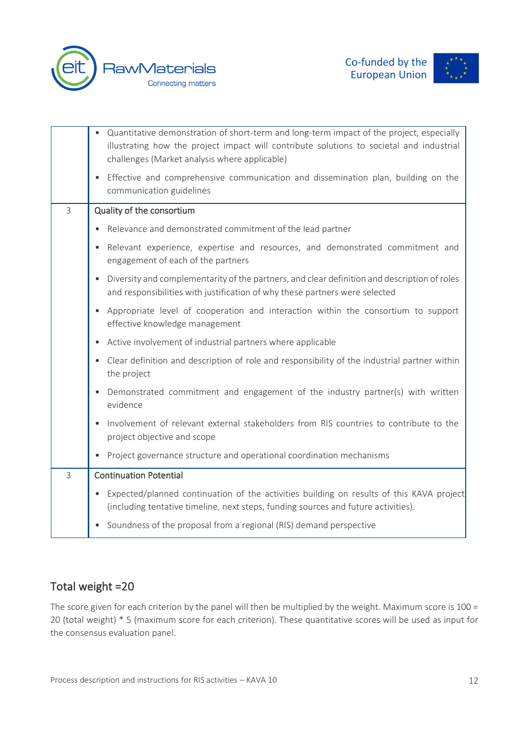





|              | Quantitative demonstration of short-term and long-term impact of the project, especially<br>$\bullet$<br>illustrating how the project impact will contribute solutions to societal and industrial<br>challenges (Market analysis where applicable) |  |
|--------------|----------------------------------------------------------------------------------------------------------------------------------------------------------------------------------------------------------------------------------------------------|--|
|              | Effective and comprehensive communication and dissemination plan, building on the<br>$\bullet$<br>communication guidelines                                                                                                                         |  |
| 3            | Quality of the consortium                                                                                                                                                                                                                          |  |
|              | Relevance and demonstrated commitment of the lead partner<br>$\bullet$                                                                                                                                                                             |  |
|              | Relevant experience, expertise and resources, and demonstrated commitment and<br>$\bullet$<br>engagement of each of the partners                                                                                                                   |  |
|              | Diversity and complementarity of the partners, and clear definition and description of roles<br>$\bullet$<br>and responsibilities with justification of why these partners were selected                                                           |  |
|              | Appropriate level of cooperation and interaction within the consortium to support<br>$\bullet$<br>effective knowledge management                                                                                                                   |  |
|              | Active involvement of industrial partners where applicable<br>$\bullet$                                                                                                                                                                            |  |
|              | Clear definition and description of role and responsibility of the industrial partner within<br>$\bullet$<br>the project                                                                                                                           |  |
|              | Demonstrated commitment and engagement of the industry partner(s) with written<br>$\bullet$<br>evidence                                                                                                                                            |  |
|              | Involvement of relevant external stakeholders from RIS countries to contribute to the<br>$\bullet$<br>project objective and scope                                                                                                                  |  |
|              | Project governance structure and operational coordination mechanisms<br>$\bullet$                                                                                                                                                                  |  |
| $\mathsf{3}$ | <b>Continuation Potential</b>                                                                                                                                                                                                                      |  |
|              | Expected/planned continuation of the activities building on results of this KAVA project<br>$\bullet$<br>(including tentative timeline, next steps, funding sources and future activities).                                                        |  |
|              | Soundness of the proposal from a regional (RIS) demand perspective<br>$\bullet$                                                                                                                                                                    |  |

# Total weight =20

The score given for each criterion by the panel will then be multiplied by the weight. Maximum score is 100 = 20 (total weight) \* 5 (maximum score for each criterion). These quantitative scores will be used as input for the consensus evaluation panel.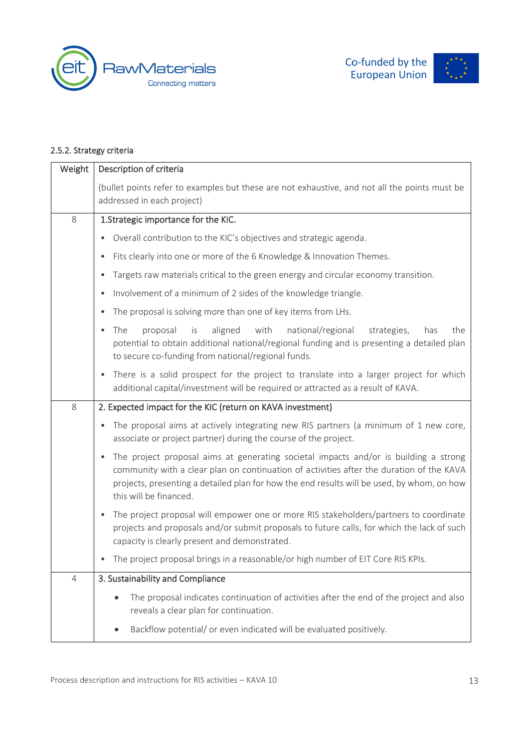





#### 2.5.2. Strategy criteria

| Weight                                                                    | Description of criteria                                                                                                                                                                                                                                                                                               |  |
|---------------------------------------------------------------------------|-----------------------------------------------------------------------------------------------------------------------------------------------------------------------------------------------------------------------------------------------------------------------------------------------------------------------|--|
|                                                                           | (bullet points refer to examples but these are not exhaustive, and not all the points must be<br>addressed in each project)                                                                                                                                                                                           |  |
| 8                                                                         | 1. Strategic importance for the KIC.                                                                                                                                                                                                                                                                                  |  |
|                                                                           | Overall contribution to the KIC's objectives and strategic agenda.<br>٠                                                                                                                                                                                                                                               |  |
|                                                                           | Fits clearly into one or more of the 6 Knowledge & Innovation Themes.<br>$\bullet$                                                                                                                                                                                                                                    |  |
|                                                                           | Targets raw materials critical to the green energy and circular economy transition.<br>$\bullet$                                                                                                                                                                                                                      |  |
|                                                                           | Involvement of a minimum of 2 sides of the knowledge triangle.<br>$\bullet$                                                                                                                                                                                                                                           |  |
| The proposal is solving more than one of key items from LHs.<br>$\bullet$ |                                                                                                                                                                                                                                                                                                                       |  |
|                                                                           | aligned<br>with<br>national/regional<br>The<br>proposal<br>is<br>strategies,<br>has<br>the<br>$\bullet$<br>potential to obtain additional national/regional funding and is presenting a detailed plan<br>to secure co-funding from national/regional funds.                                                           |  |
|                                                                           | There is a solid prospect for the project to translate into a larger project for which<br>$\bullet$<br>additional capital/investment will be required or attracted as a result of KAVA.                                                                                                                               |  |
| 8                                                                         | 2. Expected impact for the KIC (return on KAVA investment)                                                                                                                                                                                                                                                            |  |
|                                                                           | The proposal aims at actively integrating new RIS partners (a minimum of 1 new core,<br>$\bullet$<br>associate or project partner) during the course of the project.                                                                                                                                                  |  |
|                                                                           | The project proposal aims at generating societal impacts and/or is building a strong<br>$\bullet$<br>community with a clear plan on continuation of activities after the duration of the KAVA<br>projects, presenting a detailed plan for how the end results will be used, by whom, on how<br>this will be financed. |  |
|                                                                           | The project proposal will empower one or more RIS stakeholders/partners to coordinate<br>$\bullet$<br>projects and proposals and/or submit proposals to future calls, for which the lack of such<br>capacity is clearly present and demonstrated.                                                                     |  |
|                                                                           | The project proposal brings in a reasonable/or high number of EIT Core RIS KPIs.                                                                                                                                                                                                                                      |  |
| 4                                                                         | 3. Sustainability and Compliance                                                                                                                                                                                                                                                                                      |  |
|                                                                           | The proposal indicates continuation of activities after the end of the project and also<br>reveals a clear plan for continuation.                                                                                                                                                                                     |  |
|                                                                           | Backflow potential/ or even indicated will be evaluated positively.                                                                                                                                                                                                                                                   |  |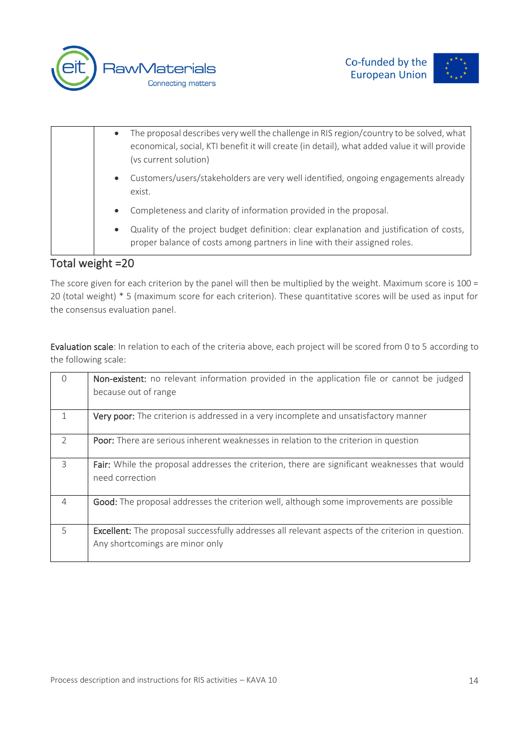



| The proposal describes very well the challenge in RIS region/country to be solved, what<br>$\bullet$<br>economical, social, KTI benefit it will create (in detail), what added value it will provide<br>(vs current solution) |
|-------------------------------------------------------------------------------------------------------------------------------------------------------------------------------------------------------------------------------|
| Customers/users/stakeholders are very well identified, ongoing engagements already<br>$\bullet$<br>exist.                                                                                                                     |
| Completeness and clarity of information provided in the proposal.<br>$\bullet$                                                                                                                                                |
| Quality of the project budget definition: clear explanation and justification of costs,<br>$\bullet$<br>proper balance of costs among partners in line with their assigned roles.                                             |

# Total weight =20

The score given for each criterion by the panel will then be multiplied by the weight. Maximum score is 100 = 20 (total weight) \* 5 (maximum score for each criterion). These quantitative scores will be used as input for the consensus evaluation panel.

Evaluation scale: In relation to each of the criteria above, each project will be scored from 0 to 5 according to the following scale:

| $\Omega$       | <b>Non-existent:</b> no relevant information provided in the application file or cannot be judged<br>because out of range                   |
|----------------|---------------------------------------------------------------------------------------------------------------------------------------------|
|                | Very poor: The criterion is addressed in a very incomplete and unsatisfactory manner                                                        |
| $\mathcal{P}$  | <b>Poor:</b> There are serious inherent weaknesses in relation to the criterion in question                                                 |
| 3              | Fair: While the proposal addresses the criterion, there are significant weaknesses that would<br>need correction                            |
| $\overline{4}$ | Good: The proposal addresses the criterion well, although some improvements are possible                                                    |
| 5              | <b>Excellent:</b> The proposal successfully addresses all relevant aspects of the criterion in question.<br>Any shortcomings are minor only |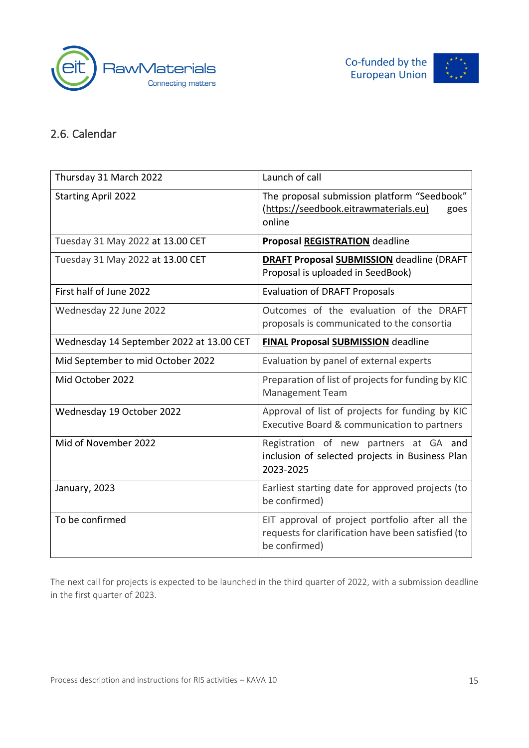





# 2.6. Calendar

| Thursday 31 March 2022                   | Launch of call                                                                                                         |
|------------------------------------------|------------------------------------------------------------------------------------------------------------------------|
| <b>Starting April 2022</b>               | The proposal submission platform "Seedbook"<br>(https://seedbook.eitrawmaterials.eu)<br>goes<br>online                 |
| Tuesday 31 May 2022 at 13.00 CET         | Proposal REGISTRATION deadline                                                                                         |
| Tuesday 31 May 2022 at 13.00 CET         | <b>DRAFT Proposal SUBMISSION</b> deadline (DRAFT<br>Proposal is uploaded in SeedBook)                                  |
| First half of June 2022                  | <b>Evaluation of DRAFT Proposals</b>                                                                                   |
| Wednesday 22 June 2022                   | Outcomes of the evaluation of the DRAFT<br>proposals is communicated to the consortia                                  |
| Wednesday 14 September 2022 at 13.00 CET | <b>FINAL Proposal SUBMISSION deadline</b>                                                                              |
| Mid September to mid October 2022        | Evaluation by panel of external experts                                                                                |
| Mid October 2022                         | Preparation of list of projects for funding by KIC<br><b>Management Team</b>                                           |
| Wednesday 19 October 2022                | Approval of list of projects for funding by KIC<br>Executive Board & communication to partners                         |
| Mid of November 2022                     | Registration of new partners at GA and<br>inclusion of selected projects in Business Plan<br>2023-2025                 |
| January, 2023                            | Earliest starting date for approved projects (to<br>be confirmed)                                                      |
| To be confirmed                          | EIT approval of project portfolio after all the<br>requests for clarification have been satisfied (to<br>be confirmed) |

The next call for projects is expected to be launched in the third quarter of 2022, with a submission deadline in the first quarter of 2023.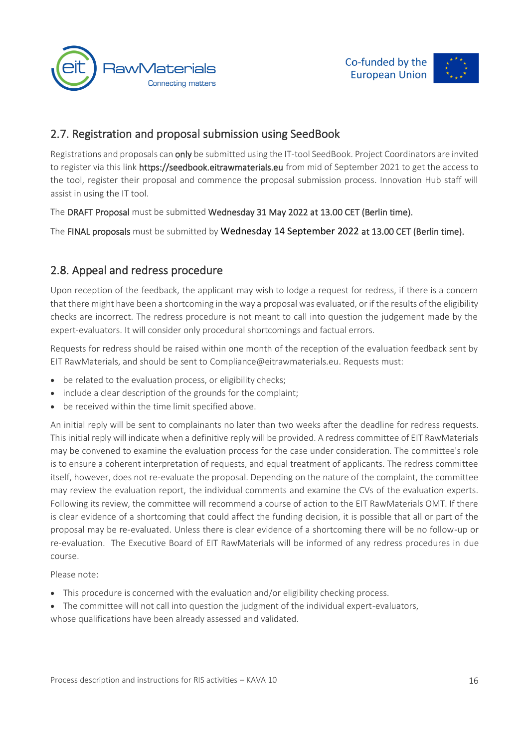



## 2.7. Registration and proposal submission using SeedBook

Registrations and proposals can only be submitted using the IT-tool SeedBook. Project Coordinators are invited to register via this link https://seedbook.eitrawmaterials.eu from mid of September 2021 to get the access to the tool, register their proposal and commence the proposal submission process. Innovation Hub staff will assist in using the IT tool.

The DRAFT Proposal must be submitted Wednesday 31 May 2022 at 13.00 CET (Berlin time).

The FINAL proposals must be submitted by Wednesday 14 September 2022 at 13.00 CET (Berlin time).

## 2.8. Appeal and redress procedure

Upon reception of the feedback, the applicant may wish to lodge a request for redress, if there is a concern that there might have been a shortcoming in the way a proposal was evaluated, or if the results of the eligibility checks are incorrect. The redress procedure is not meant to call into question the judgement made by the expert-evaluators. It will consider only procedural shortcomings and factual errors.

Requests for redress should be raised within one month of the reception of the evaluation feedback sent by EIT RawMaterials, and should be sent to [Compliance@eitrawmaterials.eu.](mailto:Compliance@eitrawmaterials.eu) Requests must:

- be related to the evaluation process, or eligibility checks;
- include a clear description of the grounds for the complaint;
- be received within the time limit specified above.

An initial reply will be sent to complainants no later than two weeks after the deadline for redress requests. This initial reply will indicate when a definitive reply will be provided. A redress committee of EIT RawMaterials may be convened to examine the evaluation process for the case under consideration. The committee's role is to ensure a coherent interpretation of requests, and equal treatment of applicants. The redress committee itself, however, does not re-evaluate the proposal. Depending on the nature of the complaint, the committee may review the evaluation report, the individual comments and examine the CVs of the evaluation experts. Following its review, the committee will recommend a course of action to the EIT RawMaterials OMT. If there is clear evidence of a shortcoming that could affect the funding decision, it is possible that all or part of the proposal may be re-evaluated. Unless there is clear evidence of a shortcoming there will be no follow-up or re-evaluation. The Executive Board of EIT RawMaterials will be informed of any redress procedures in due course.

Please note:

- This procedure is concerned with the evaluation and/or eligibility checking process.
- The committee will not call into question the judgment of the individual expert-evaluators,

whose qualifications have been already assessed and validated.